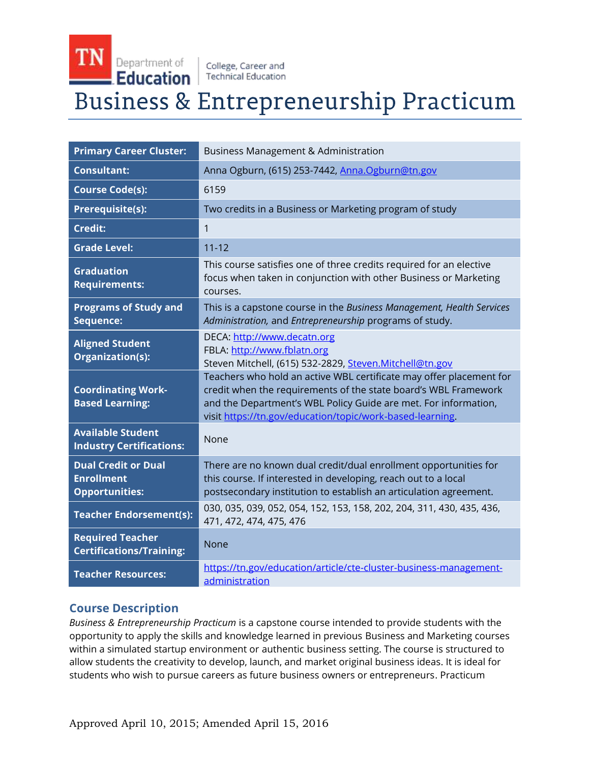TN Department of College, Career and Education **Technical Education** 

# Business & Entrepreneurship Practicum

| <b>Primary Career Cluster:</b>                                           | <b>Business Management &amp; Administration</b>                                                                                                                                                                                                                        |
|--------------------------------------------------------------------------|------------------------------------------------------------------------------------------------------------------------------------------------------------------------------------------------------------------------------------------------------------------------|
| <b>Consultant:</b>                                                       | Anna Ogburn, (615) 253-7442, Anna.Ogburn@tn.gov                                                                                                                                                                                                                        |
| <b>Course Code(s):</b>                                                   | 6159                                                                                                                                                                                                                                                                   |
| Prerequisite(s):                                                         | Two credits in a Business or Marketing program of study                                                                                                                                                                                                                |
| <b>Credit:</b>                                                           | 1                                                                                                                                                                                                                                                                      |
| <b>Grade Level:</b>                                                      | $11 - 12$                                                                                                                                                                                                                                                              |
| <b>Graduation</b><br><b>Requirements:</b>                                | This course satisfies one of three credits required for an elective<br>focus when taken in conjunction with other Business or Marketing<br>courses.                                                                                                                    |
| <b>Programs of Study and</b><br>Sequence:                                | This is a capstone course in the Business Management, Health Services<br>Administration, and Entrepreneurship programs of study.                                                                                                                                       |
| <b>Aligned Student</b><br>Organization(s):                               | DECA: http://www.decatn.org<br>FBLA: http://www.fblatn.org<br>Steven Mitchell, (615) 532-2829, Steven.Mitchell@tn.gov                                                                                                                                                  |
| <b>Coordinating Work-</b><br><b>Based Learning:</b>                      | Teachers who hold an active WBL certificate may offer placement for<br>credit when the requirements of the state board's WBL Framework<br>and the Department's WBL Policy Guide are met. For information,<br>visit https://tn.gov/education/topic/work-based-learning. |
| <b>Available Student</b><br><b>Industry Certifications:</b>              | None                                                                                                                                                                                                                                                                   |
| <b>Dual Credit or Dual</b><br><b>Enrollment</b><br><b>Opportunities:</b> | There are no known dual credit/dual enrollment opportunities for<br>this course. If interested in developing, reach out to a local<br>postsecondary institution to establish an articulation agreement.                                                                |
| <b>Teacher Endorsement(s):</b>                                           | 030, 035, 039, 052, 054, 152, 153, 158, 202, 204, 311, 430, 435, 436,<br>471, 472, 474, 475, 476                                                                                                                                                                       |
| <b>Required Teacher</b><br><b>Certifications/Training:</b>               | <b>None</b>                                                                                                                                                                                                                                                            |
| <b>Teacher Resources:</b>                                                | https://tn.gov/education/article/cte-cluster-business-management-<br>administration                                                                                                                                                                                    |

# **Course Description**

*Business & Entrepreneurship Practicum* is a capstone course intended to provide students with the opportunity to apply the skills and knowledge learned in previous Business and Marketing courses within a simulated startup environment or authentic business setting. The course is structured to allow students the creativity to develop, launch, and market original business ideas. It is ideal for students who wish to pursue careers as future business owners or entrepreneurs. Practicum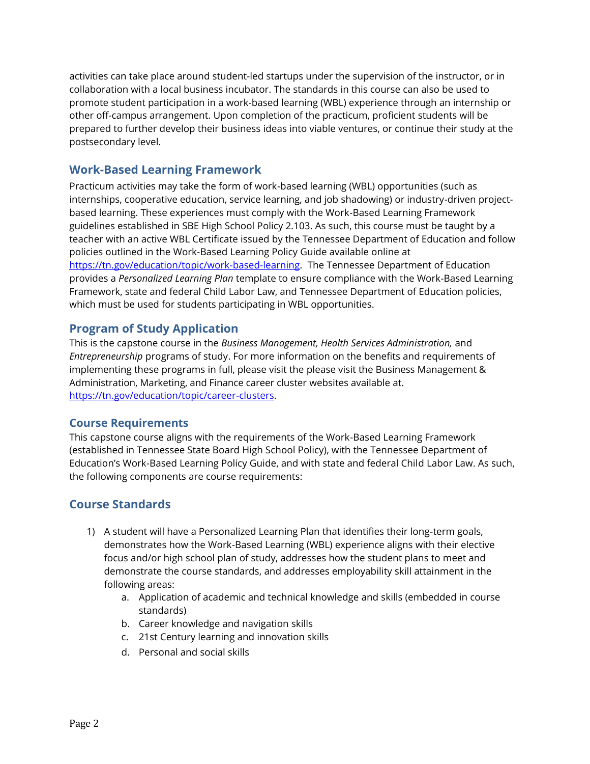activities can take place around student-led startups under the supervision of the instructor, or in collaboration with a local business incubator. The standards in this course can also be used to promote student participation in a work-based learning (WBL) experience through an internship or other off-campus arrangement. Upon completion of the practicum, proficient students will be prepared to further develop their business ideas into viable ventures, or continue their study at the postsecondary level.

# **Work-Based Learning Framework**

Practicum activities may take the form of work-based learning (WBL) opportunities (such as internships, cooperative education, service learning, and job shadowing) or industry-driven projectbased learning. These experiences must comply with the Work-Based Learning Framework guidelines established in SBE High School Policy 2.103. As such, this course must be taught by a teacher with an active WBL Certificate issued by the Tennessee Department of Education and follow policies outlined in the Work-Based Learning Policy Guide available online at [https://tn.gov/education/topic/work-based-learning.](https://tn.gov/education/topic/work-based-learning) The Tennessee Department of Education provides a *Personalized Learning Plan* template to ensure compliance with the Work-Based Learning Framework, state and federal Child Labor Law, and Tennessee Department of Education policies, which must be used for students participating in WBL opportunities.

## **Program of Study Application**

This is the capstone course in the *Business Management, Health Services Administration,* and *Entrepreneurship* programs of study. For more information on the benefits and requirements of implementing these programs in full, please visit the please visit the Business Management & Administration, Marketing, and Finance career cluster websites available at. [https://tn.gov/education/topic/career-clusters.](https://tn.gov/education/topic/career-clusters)

## **Course Requirements**

This capstone course aligns with the requirements of the Work-Based Learning Framework (established in Tennessee State Board High School Policy), with the Tennessee Department of Education's Work-Based Learning Policy Guide, and with state and federal Child Labor Law. As such, the following components are course requirements:

# **Course Standards**

- 1) A student will have a Personalized Learning Plan that identifies their long-term goals, demonstrates how the Work-Based Learning (WBL) experience aligns with their elective focus and/or high school plan of study, addresses how the student plans to meet and demonstrate the course standards, and addresses employability skill attainment in the following areas:
	- a. Application of academic and technical knowledge and skills (embedded in course standards)
	- b. Career knowledge and navigation skills
	- c. 21st Century learning and innovation skills
	- d. Personal and social skills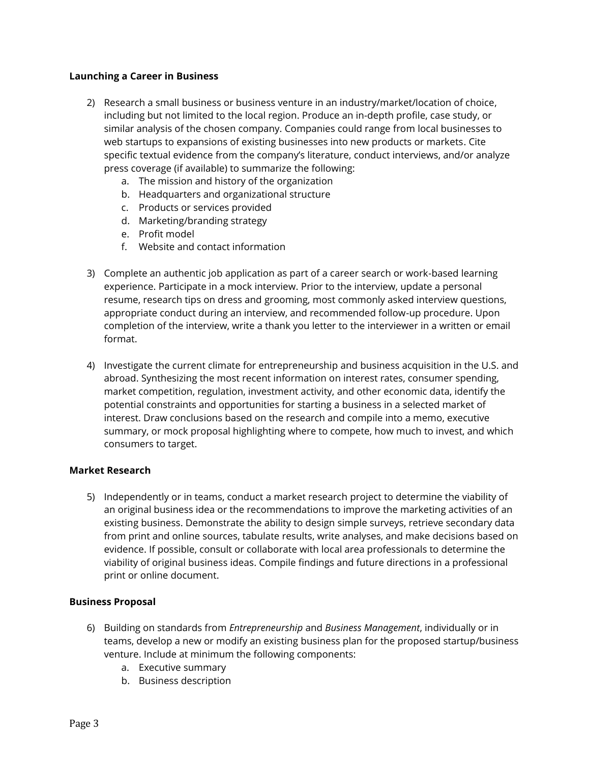#### **Launching a Career in Business**

- 2) Research a small business or business venture in an industry/market/location of choice, including but not limited to the local region. Produce an in-depth profile, case study, or similar analysis of the chosen company. Companies could range from local businesses to web startups to expansions of existing businesses into new products or markets. Cite specific textual evidence from the company's literature, conduct interviews, and/or analyze press coverage (if available) to summarize the following:
	- a. The mission and history of the organization
	- b. Headquarters and organizational structure
	- c. Products or services provided
	- d. Marketing/branding strategy
	- e. Profit model
	- f. Website and contact information
- 3) Complete an authentic job application as part of a career search or work-based learning experience. Participate in a mock interview. Prior to the interview, update a personal resume, research tips on dress and grooming, most commonly asked interview questions, appropriate conduct during an interview, and recommended follow-up procedure. Upon completion of the interview, write a thank you letter to the interviewer in a written or email format.
- 4) Investigate the current climate for entrepreneurship and business acquisition in the U.S. and abroad. Synthesizing the most recent information on interest rates, consumer spending, market competition, regulation, investment activity, and other economic data, identify the potential constraints and opportunities for starting a business in a selected market of interest. Draw conclusions based on the research and compile into a memo, executive summary, or mock proposal highlighting where to compete, how much to invest, and which consumers to target.

#### **Market Research**

5) Independently or in teams, conduct a market research project to determine the viability of an original business idea or the recommendations to improve the marketing activities of an existing business. Demonstrate the ability to design simple surveys, retrieve secondary data from print and online sources, tabulate results, write analyses, and make decisions based on evidence. If possible, consult or collaborate with local area professionals to determine the viability of original business ideas. Compile findings and future directions in a professional print or online document.

#### **Business Proposal**

- 6) Building on standards from *Entrepreneurship* and *Business Management*, individually or in teams, develop a new or modify an existing business plan for the proposed startup/business venture. Include at minimum the following components:
	- a. Executive summary
	- b. Business description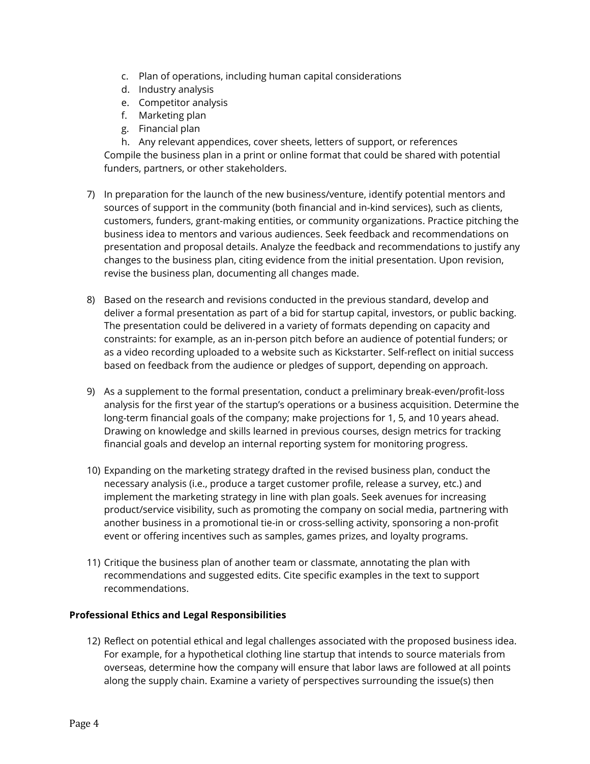- c. Plan of operations, including human capital considerations
- d. Industry analysis
- e. Competitor analysis
- f. Marketing plan
- g. Financial plan

h. Any relevant appendices, cover sheets, letters of support, or references Compile the business plan in a print or online format that could be shared with potential funders, partners, or other stakeholders.

- 7) In preparation for the launch of the new business/venture, identify potential mentors and sources of support in the community (both financial and in-kind services), such as clients, customers, funders, grant-making entities, or community organizations. Practice pitching the business idea to mentors and various audiences. Seek feedback and recommendations on presentation and proposal details. Analyze the feedback and recommendations to justify any changes to the business plan, citing evidence from the initial presentation. Upon revision, revise the business plan, documenting all changes made.
- 8) Based on the research and revisions conducted in the previous standard, develop and deliver a formal presentation as part of a bid for startup capital, investors, or public backing. The presentation could be delivered in a variety of formats depending on capacity and constraints: for example, as an in-person pitch before an audience of potential funders; or as a video recording uploaded to a website such as Kickstarter. Self-reflect on initial success based on feedback from the audience or pledges of support, depending on approach.
- 9) As a supplement to the formal presentation, conduct a preliminary break-even/profit-loss analysis for the first year of the startup's operations or a business acquisition. Determine the long-term financial goals of the company; make projections for 1, 5, and 10 years ahead. Drawing on knowledge and skills learned in previous courses, design metrics for tracking financial goals and develop an internal reporting system for monitoring progress.
- 10) Expanding on the marketing strategy drafted in the revised business plan, conduct the necessary analysis (i.e., produce a target customer profile, release a survey, etc.) and implement the marketing strategy in line with plan goals. Seek avenues for increasing product/service visibility, such as promoting the company on social media, partnering with another business in a promotional tie-in or cross-selling activity, sponsoring a non-profit event or offering incentives such as samples, games prizes, and loyalty programs.
- 11) Critique the business plan of another team or classmate, annotating the plan with recommendations and suggested edits. Cite specific examples in the text to support recommendations.

## **Professional Ethics and Legal Responsibilities**

12) Reflect on potential ethical and legal challenges associated with the proposed business idea. For example, for a hypothetical clothing line startup that intends to source materials from overseas, determine how the company will ensure that labor laws are followed at all points along the supply chain. Examine a variety of perspectives surrounding the issue(s) then